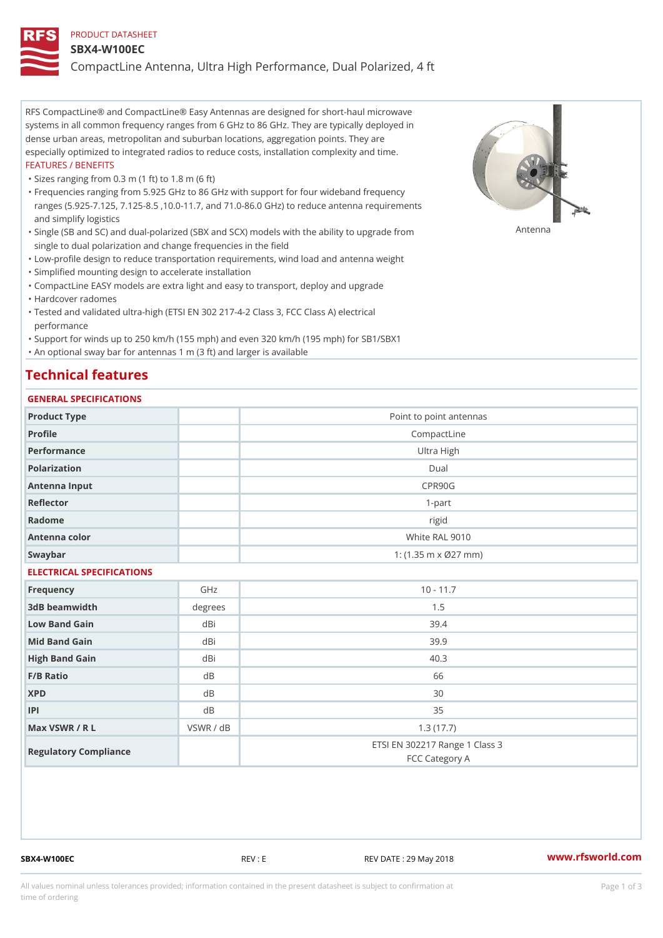### PRODUCT DATASHEET

#### SBX4-W100EC

CompactLine Antenna, Ultra High Performance, Dual Polarized, 4 ft

RFS CompactLine® and CompactLine® Easy Antennas are designed for short-haul microwave systems in all common frequency ranges from 6 GHz to 86 GHz. They are typically deployed in dense urban areas, metropolitan and suburban locations, aggregation points. They are especially optimized to integrated radios to reduce costs, installation complexity and time. FEATURES / BENEFITS

"Sizes ranging from 0.3 m (1 ft) to 1.8 m (6 ft)

Frequencies ranging from 5.925 GHz to 86 GHz with support for four wideband frequency " ranges (5.925-7.125, 7.125-8.5 ,10.0-11.7, and 71.0-86.0 GHz) to reduce antenna requirements and simplify logistics

"Single (SB and SC) and dual-polarized (SBX and SCX) models with the abili $\mathsf{f} \gamma^{\mathsf{n}} \mathsf{t} \mathsf{B}^{\mathsf{n}} \mathsf{u} \mathsf{p} \mathsf{B}$ grade from single to dual polarization and change frequencies in the field

"Low-profile design to reduce transportation requirements, wind load and antenna weight

"Simplified mounting design to accelerate installation

 "CompactLine EASY models are extra light and easy to transport, deploy and upgrade "Hardcover radomes

Tested and validated ultra-high (ETSI EN 302 217-4-2 Class 3, FCC Class A) electrical " performance

 "Support for winds up to 250 km/h (155 mph) and even 320 km/h (195 mph) for SB1/SBX1 "An optional sway bar for antennas 1 m (3 ft) and larger is available

# Technical features

## GENERAL SPECIFICATIONS

| GENERAL SPECIFICATIONS    |           |                                                  |  |  |
|---------------------------|-----------|--------------------------------------------------|--|--|
| Product Type              |           | Point to point antennas                          |  |  |
| Profile                   |           | CompactLine                                      |  |  |
| Performance               |           | Ultra High                                       |  |  |
| Polarization              |           | $D$ ual                                          |  |  |
| Antenna Input             |           | CPR90G                                           |  |  |
| Reflector                 |           | $1 - p$ art                                      |  |  |
| Radome                    |           | rigid                                            |  |  |
| Antenna color             |           | White RAL 9010                                   |  |  |
| Swaybar                   |           | 1: $(1.35 m \times 027 mm)$                      |  |  |
| ELECTRICAL SPECIFICATIONS |           |                                                  |  |  |
| Frequency                 | GHz       | $10 - 11.7$                                      |  |  |
| 3dB beamwidth             | degree:   | 1.5                                              |  |  |
| Low Band Gain             | dBi       | 39.4                                             |  |  |
| Mid Band Gain             | dBi       | 39.9                                             |  |  |
| High Band Gain            | dBi       | 40.3                                             |  |  |
| F/B Ratio                 | $d$ B     | 66                                               |  |  |
| <b>XPD</b>                | d B       | 30                                               |  |  |
| P                         | d B       | 35                                               |  |  |
| Max VSWR / R L            | VSWR / dB | 1.3(17.7)                                        |  |  |
| Regulatory Compliance     |           | ETSI EN 302217 Range 1 Class 3<br>FCC Category A |  |  |

SBX4-W100EC REV : E REV DATE : 29 May 2018 [www.](https://www.rfsworld.com)rfsworld.com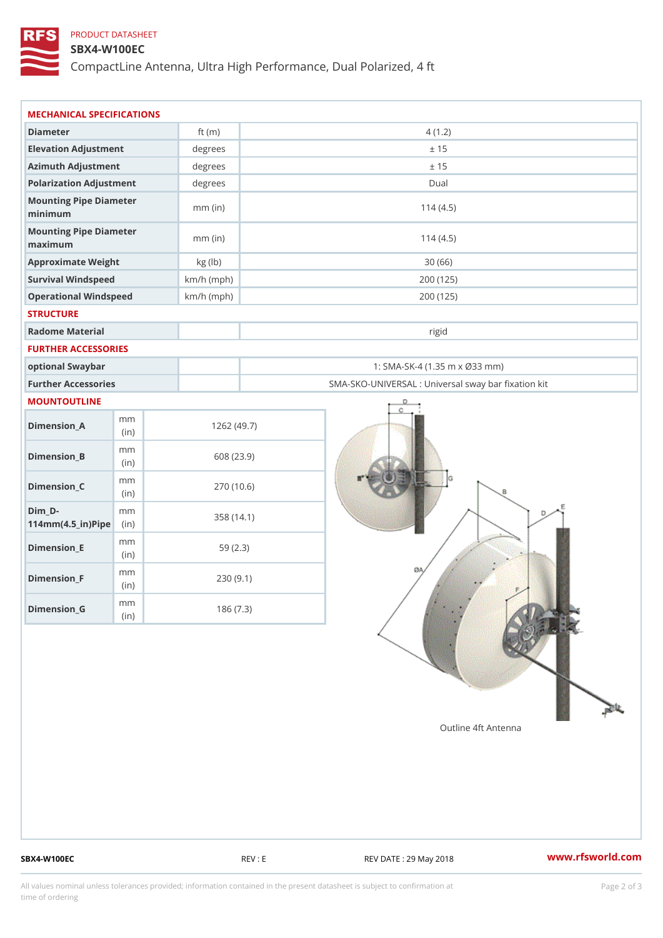## PRODUCT DATASHEET

### SBX4-W100EC

CompactLine Antenna, Ultra High Performance, Dual Polarized, 4 ft

| MECHANICAL SPECIFICATIONS                                         |              |                                                 |  |  |
|-------------------------------------------------------------------|--------------|-------------------------------------------------|--|--|
| Diameter                                                          | ft $(m)$     | 4(1.2)                                          |  |  |
| Elevation Adjustment                                              | degrees      | ± 15                                            |  |  |
| Azimuth Adjustment                                                | degrees      | ± 15                                            |  |  |
| Polarization Adjustment                                           | degrees      | Dual                                            |  |  |
| Mounting Pipe Diameter                                            |              |                                                 |  |  |
| minimum                                                           | $mm$ (in)    | 114(4.5)                                        |  |  |
| Mounting Pipe Diameter<br>maximum                                 | $mm$ (in)    | 114(4.5)                                        |  |  |
| Approximate Weight                                                | kg (lb)      | 30(66)                                          |  |  |
| Survival Windspeed                                                | $km/h$ (mph) | 200 (125)                                       |  |  |
| Operational Windspeed                                             | $km/h$ (mph) | 200 (125)                                       |  |  |
| <b>STRUCTURE</b>                                                  |              |                                                 |  |  |
| Radome Material                                                   |              | rigid                                           |  |  |
| FURTHER ACCESSORIES                                               |              |                                                 |  |  |
| optional Swaybar                                                  |              | 1: SMA-SK-4 (1.35 m x Ø33 mm)                   |  |  |
| Further Accessories                                               |              | SMA-SKO-UNIVERSAL : Universal sway bar fixation |  |  |
| MOUNTOUTLINE                                                      |              |                                                 |  |  |
| m m<br>$Dimension_A$<br>(in)                                      |              | 1262(49.7)                                      |  |  |
| m m<br>$Dimension_B$<br>(in)                                      |              | 608 (23.9)                                      |  |  |
| m m<br>$Dimension_C$<br>(in)                                      |              | 270 (10.6)                                      |  |  |
| $Dim_D - D -$<br>m m<br>$114$ m m $(4.5$ _ ir $)$ $R$ ii p $\geq$ |              | 358 (14.1)                                      |  |  |
| m m<br>$Dimension$ = E<br>(in)                                    |              | 59(2.3)                                         |  |  |
| m m<br>$Dimension_F$<br>(in)                                      |              | 230(9.1)                                        |  |  |
| m m<br>$Dimen sion_G$<br>(i n)                                    |              | 186(7.3)                                        |  |  |

SBX4-W100EC REV : E REV DATE : 29 May 2018 [www.](https://www.rfsworld.com)rfsworld.com